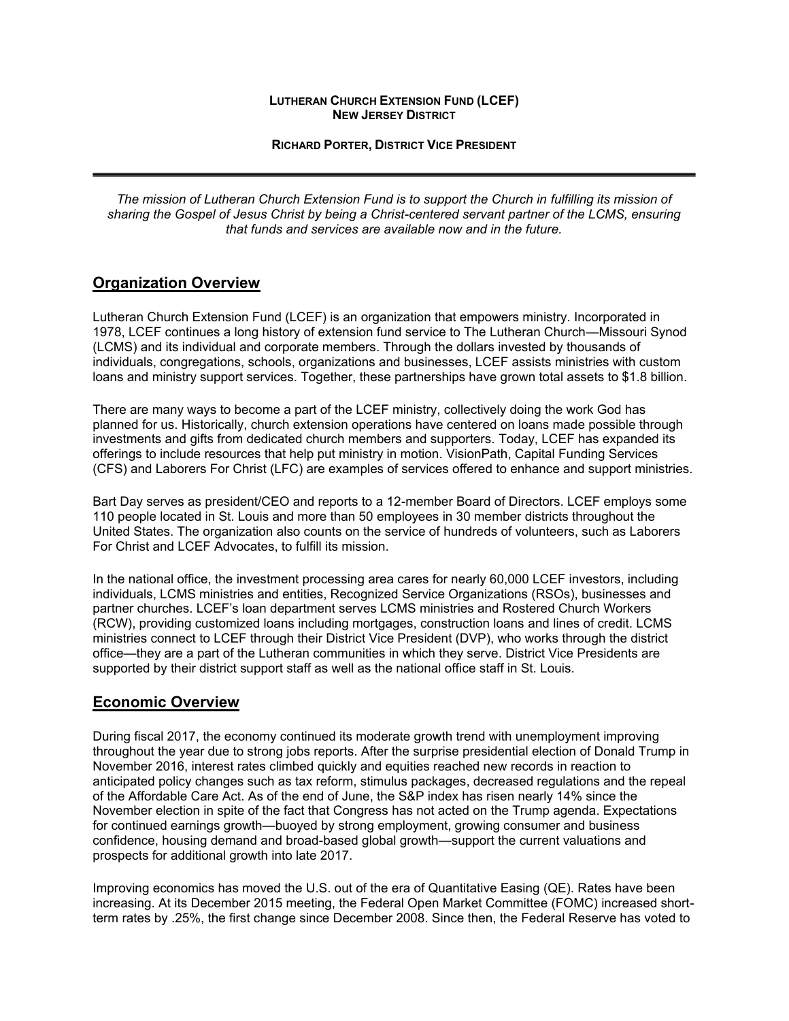#### **LUTHERAN CHURCH EXTENSION FUND (LCEF) NEW JERSEY DISTRICT**

**RICHARD PORTER, DISTRICT VICE PRESIDENT**

*The mission of Lutheran Church Extension Fund is to support the Church in fulfilling its mission of sharing the Gospel of Jesus Christ by being a Christ-centered servant partner of the LCMS, ensuring that funds and services are available now and in the future.*

### **Organization Overview**

Lutheran Church Extension Fund (LCEF) is an organization that empowers ministry. Incorporated in 1978, LCEF continues a long history of extension fund service to The Lutheran Church—Missouri Synod (LCMS) and its individual and corporate members. Through the dollars invested by thousands of individuals, congregations, schools, organizations and businesses, LCEF assists ministries with custom loans and ministry support services. Together, these partnerships have grown total assets to \$1.8 billion.

There are many ways to become a part of the LCEF ministry, collectively doing the work God has planned for us. Historically, church extension operations have centered on loans made possible through investments and gifts from dedicated church members and supporters. Today, LCEF has expanded its offerings to include resources that help put ministry in motion. VisionPath, Capital Funding Services (CFS) and Laborers For Christ (LFC) are examples of services offered to enhance and support ministries.

Bart Day serves as president/CEO and reports to a 12-member Board of Directors. LCEF employs some 110 people located in St. Louis and more than 50 employees in 30 member districts throughout the United States. The organization also counts on the service of hundreds of volunteers, such as Laborers For Christ and LCEF Advocates, to fulfill its mission.

In the national office, the investment processing area cares for nearly 60,000 LCEF investors, including individuals, LCMS ministries and entities, Recognized Service Organizations (RSOs), businesses and partner churches. LCEF's loan department serves LCMS ministries and Rostered Church Workers (RCW), providing customized loans including mortgages, construction loans and lines of credit. LCMS ministries connect to LCEF through their District Vice President (DVP), who works through the district office—they are a part of the Lutheran communities in which they serve. District Vice Presidents are supported by their district support staff as well as the national office staff in St. Louis.

### **Economic Overview**

During fiscal 2017, the economy continued its moderate growth trend with unemployment improving throughout the year due to strong jobs reports. After the surprise presidential election of Donald Trump in November 2016, interest rates climbed quickly and equities reached new records in reaction to anticipated policy changes such as tax reform, stimulus packages, decreased regulations and the repeal of the Affordable Care Act. As of the end of June, the S&P index has risen nearly 14% since the November election in spite of the fact that Congress has not acted on the Trump agenda. Expectations for continued earnings growth—buoyed by strong employment, growing consumer and business confidence, housing demand and broad-based global growth—support the current valuations and prospects for additional growth into late 2017.

Improving economics has moved the U.S. out of the era of Quantitative Easing (QE). Rates have been increasing. At its December 2015 meeting, the Federal Open Market Committee (FOMC) increased shortterm rates by .25%, the first change since December 2008. Since then, the Federal Reserve has voted to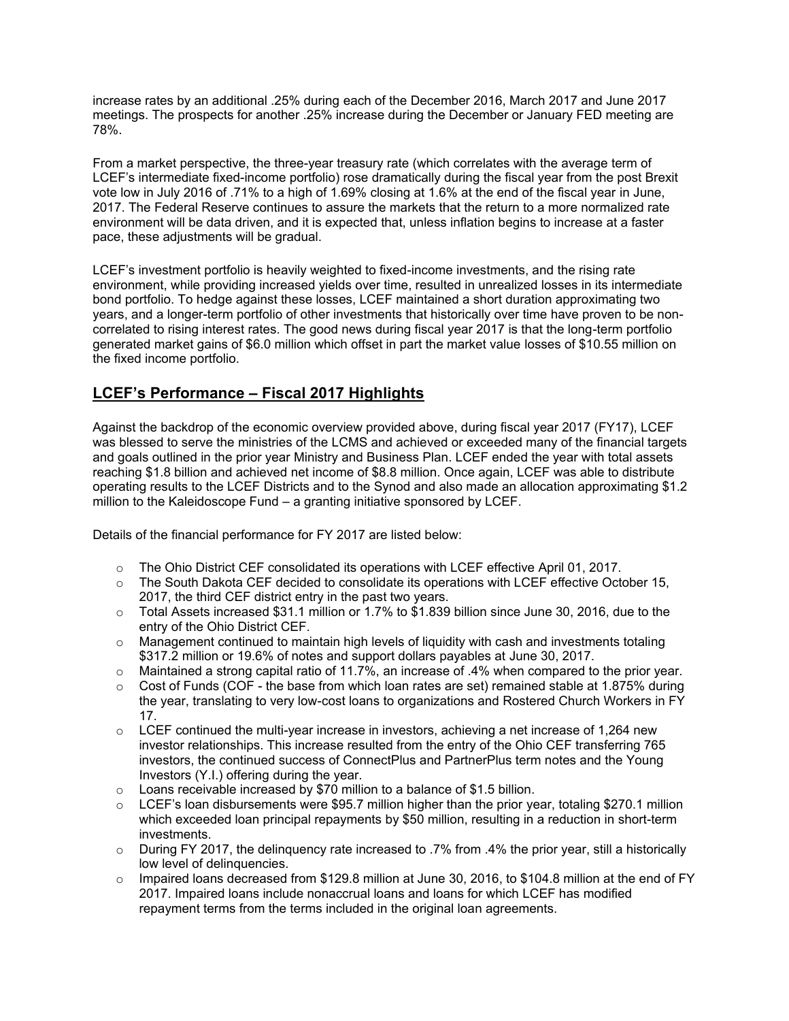increase rates by an additional .25% during each of the December 2016, March 2017 and June 2017 meetings. The prospects for another .25% increase during the December or January FED meeting are 78%.

From a market perspective, the three-year treasury rate (which correlates with the average term of LCEF's intermediate fixed-income portfolio) rose dramatically during the fiscal year from the post Brexit vote low in July 2016 of .71% to a high of 1.69% closing at 1.6% at the end of the fiscal year in June, 2017. The Federal Reserve continues to assure the markets that the return to a more normalized rate environment will be data driven, and it is expected that, unless inflation begins to increase at a faster pace, these adjustments will be gradual.

LCEF's investment portfolio is heavily weighted to fixed-income investments, and the rising rate environment, while providing increased yields over time, resulted in unrealized losses in its intermediate bond portfolio. To hedge against these losses, LCEF maintained a short duration approximating two years, and a longer-term portfolio of other investments that historically over time have proven to be noncorrelated to rising interest rates. The good news during fiscal year 2017 is that the long-term portfolio generated market gains of \$6.0 million which offset in part the market value losses of \$10.55 million on the fixed income portfolio.

## **LCEF's Performance – Fiscal 2017 Highlights**

Against the backdrop of the economic overview provided above, during fiscal year 2017 (FY17), LCEF was blessed to serve the ministries of the LCMS and achieved or exceeded many of the financial targets and goals outlined in the prior year Ministry and Business Plan. LCEF ended the year with total assets reaching \$1.8 billion and achieved net income of \$8.8 million. Once again, LCEF was able to distribute operating results to the LCEF Districts and to the Synod and also made an allocation approximating \$1.2 million to the Kaleidoscope Fund – a granting initiative sponsored by LCEF.

Details of the financial performance for FY 2017 are listed below:

- $\circ$  The Ohio District CEF consolidated its operations with LCEF effective April 01, 2017.
- $\circ$  The South Dakota CEF decided to consolidate its operations with LCEF effective October 15, 2017, the third CEF district entry in the past two years.
- $\circ$  Total Assets increased \$31.1 million or 1.7% to \$1.839 billion since June 30, 2016, due to the entry of the Ohio District CEF.
- $\circ$  Management continued to maintain high levels of liquidity with cash and investments totaling \$317.2 million or 19.6% of notes and support dollars payables at June 30, 2017.
- $\circ$  Maintained a strong capital ratio of 11.7%, an increase of .4% when compared to the prior year.
- $\circ$  Cost of Funds (COF the base from which loan rates are set) remained stable at 1.875% during the year, translating to very low-cost loans to organizations and Rostered Church Workers in FY 17.
- $\circ$  LCEF continued the multi-year increase in investors, achieving a net increase of 1,264 new investor relationships. This increase resulted from the entry of the Ohio CEF transferring 765 investors, the continued success of ConnectPlus and PartnerPlus term notes and the Young Investors (Y.I.) offering during the year.
- $\circ$  Loans receivable increased by \$70 million to a balance of \$1.5 billion.
- $\circ$  LCEF's loan disbursements were \$95.7 million higher than the prior year, totaling \$270.1 million which exceeded loan principal repayments by \$50 million, resulting in a reduction in short-term investments.
- o During FY 2017, the delinquency rate increased to .7% from .4% the prior year, still a historically low level of delinquencies.
- $\circ$  Impaired loans decreased from \$129.8 million at June 30, 2016, to \$104.8 million at the end of FY 2017. Impaired loans include nonaccrual loans and loans for which LCEF has modified repayment terms from the terms included in the original loan agreements.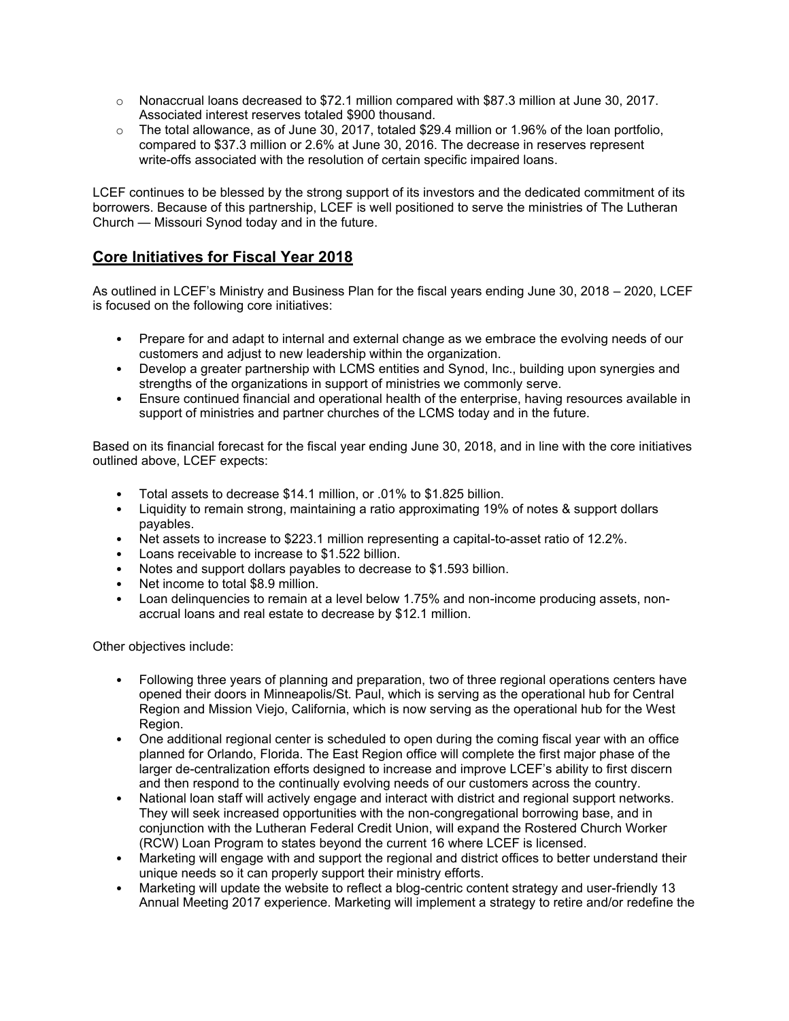- o Nonaccrual loans decreased to \$72.1 million compared with \$87.3 million at June 30, 2017. Associated interest reserves totaled \$900 thousand.
- $\circ$  The total allowance, as of June 30, 2017, totaled \$29.4 million or 1.96% of the loan portfolio, compared to \$37.3 million or 2.6% at June 30, 2016. The decrease in reserves represent write-offs associated with the resolution of certain specific impaired loans.

LCEF continues to be blessed by the strong support of its investors and the dedicated commitment of its borrowers. Because of this partnership, LCEF is well positioned to serve the ministries of The Lutheran Church — Missouri Synod today and in the future.

### **Core Initiatives for Fiscal Year 2018**

As outlined in LCEF's Ministry and Business Plan for the fiscal years ending June 30, 2018 – 2020, LCEF is focused on the following core initiatives:

- Prepare for and adapt to internal and external change as we embrace the evolving needs of our customers and adjust to new leadership within the organization.
- Develop a greater partnership with LCMS entities and Synod, Inc., building upon synergies and strengths of the organizations in support of ministries we commonly serve.
- Ensure continued financial and operational health of the enterprise, having resources available in support of ministries and partner churches of the LCMS today and in the future.

Based on its financial forecast for the fiscal year ending June 30, 2018, and in line with the core initiatives outlined above, LCEF expects:

- Total assets to decrease \$14.1 million, or .01% to \$1.825 billion.
- Liquidity to remain strong, maintaining a ratio approximating 19% of notes & support dollars payables.
- Net assets to increase to \$223.1 million representing a capital-to-asset ratio of 12.2%.
- Loans receivable to increase to \$1.522 billion.
- Notes and support dollars payables to decrease to \$1.593 billion.
- Net income to total \$8.9 million.
- Loan delinquencies to remain at a level below 1.75% and non-income producing assets, nonaccrual loans and real estate to decrease by \$12.1 million.

Other objectives include:

- Following three years of planning and preparation, two of three regional operations centers have opened their doors in Minneapolis/St. Paul, which is serving as the operational hub for Central Region and Mission Viejo, California, which is now serving as the operational hub for the West Region.
- One additional regional center is scheduled to open during the coming fiscal year with an office planned for Orlando, Florida. The East Region office will complete the first major phase of the larger de-centralization efforts designed to increase and improve LCEF's ability to first discern and then respond to the continually evolving needs of our customers across the country.
- National loan staff will actively engage and interact with district and regional support networks. They will seek increased opportunities with the non-congregational borrowing base, and in conjunction with the Lutheran Federal Credit Union, will expand the Rostered Church Worker (RCW) Loan Program to states beyond the current 16 where LCEF is licensed.
- Marketing will engage with and support the regional and district offices to better understand their unique needs so it can properly support their ministry efforts.
- Marketing will update the website to reflect a blog-centric content strategy and user-friendly 13 Annual Meeting 2017 experience. Marketing will implement a strategy to retire and/or redefine the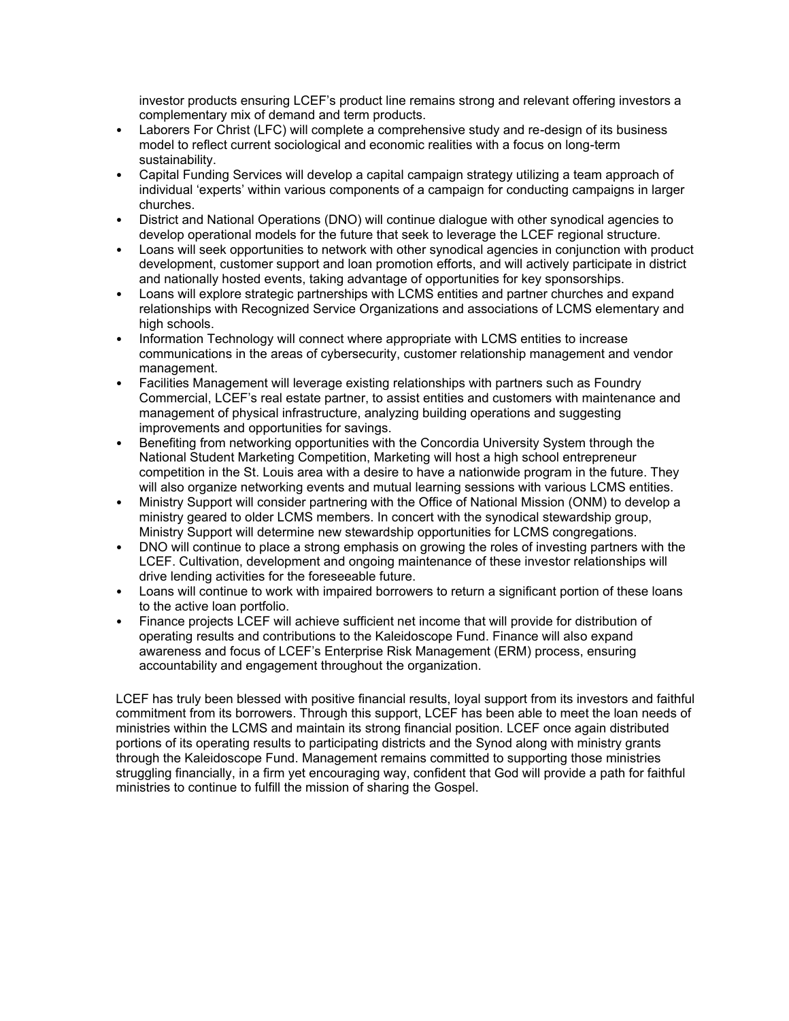investor products ensuring LCEF's product line remains strong and relevant offering investors a complementary mix of demand and term products.

- Laborers For Christ (LFC) will complete a comprehensive study and re-design of its business model to reflect current sociological and economic realities with a focus on long-term sustainability.
- Capital Funding Services will develop a capital campaign strategy utilizing a team approach of individual 'experts' within various components of a campaign for conducting campaigns in larger churches.
- District and National Operations (DNO) will continue dialogue with other synodical agencies to develop operational models for the future that seek to leverage the LCEF regional structure.
- Loans will seek opportunities to network with other synodical agencies in conjunction with product development, customer support and loan promotion efforts, and will actively participate in district and nationally hosted events, taking advantage of opportunities for key sponsorships.
- Loans will explore strategic partnerships with LCMS entities and partner churches and expand relationships with Recognized Service Organizations and associations of LCMS elementary and high schools.
- Information Technology will connect where appropriate with LCMS entities to increase communications in the areas of cybersecurity, customer relationship management and vendor management.
- Facilities Management will leverage existing relationships with partners such as Foundry Commercial, LCEF's real estate partner, to assist entities and customers with maintenance and management of physical infrastructure, analyzing building operations and suggesting improvements and opportunities for savings.
- Benefiting from networking opportunities with the Concordia University System through the National Student Marketing Competition, Marketing will host a high school entrepreneur competition in the St. Louis area with a desire to have a nationwide program in the future. They will also organize networking events and mutual learning sessions with various LCMS entities.
- Ministry Support will consider partnering with the Office of National Mission (ONM) to develop a ministry geared to older LCMS members. In concert with the synodical stewardship group, Ministry Support will determine new stewardship opportunities for LCMS congregations.
- DNO will continue to place a strong emphasis on growing the roles of investing partners with the LCEF. Cultivation, development and ongoing maintenance of these investor relationships will drive lending activities for the foreseeable future.
- Loans will continue to work with impaired borrowers to return a significant portion of these loans to the active loan portfolio.
- Finance projects LCEF will achieve sufficient net income that will provide for distribution of operating results and contributions to the Kaleidoscope Fund. Finance will also expand awareness and focus of LCEF's Enterprise Risk Management (ERM) process, ensuring accountability and engagement throughout the organization.

LCEF has truly been blessed with positive financial results, loyal support from its investors and faithful commitment from its borrowers. Through this support, LCEF has been able to meet the loan needs of ministries within the LCMS and maintain its strong financial position. LCEF once again distributed portions of its operating results to participating districts and the Synod along with ministry grants through the Kaleidoscope Fund. Management remains committed to supporting those ministries struggling financially, in a firm yet encouraging way, confident that God will provide a path for faithful ministries to continue to fulfill the mission of sharing the Gospel.